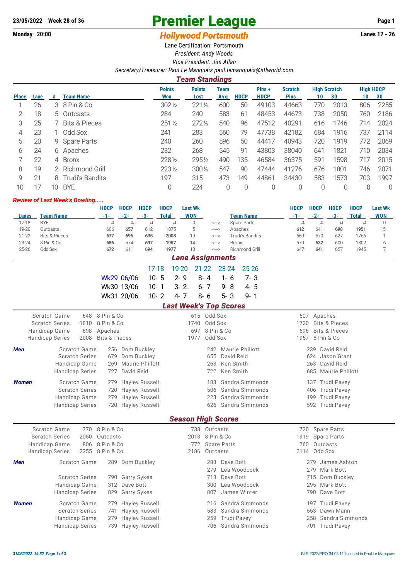## 23/05/2022 Week 28 of 36 **Premier League** Page 1<br>
Monday 20:00 **Hollywood Partsmauth** Lanes 17 - 26

## **Monday 20:00** *Monday 20:00* **<b>***Hollywood Portsmouth*

Lane Certification: Portsmouth *President: Andy Woods Vice President: Jim Allan*

*Secretary/Treasurer: Paul Le Manquais [paul.lemanquais@ntlworld.com](mailto:paul.lemanquais@ntlworld.com)*

## *Team Standings* **Points Points Team Pins + Scratch High Scratch High HDCP Place Lane # Team Name Won Lost Avg HDCP HDCP Pins 10 30 10 30** 1 26 3 8 Pin & Co 302½ 221½ 600 50 49103 44663 770 2013 806 2255 2 18 5 Outcasts 284 240 583 61 48453 44673 738 2050 760 2186 3 25 7 Bits & Pieces 251½ 272½ 540 96 47512 40291 616 1746 714 2024 4 23 1 Odd Sox 241 283 560 79 47738 42182 684 1916 737 2114 5 20 9 Spare Parts 240 260 596 50 44417 40943 720 1919 772 2069 6 24 6 Apaches 232 268 545 91 43803 38040 641 1821 710 2034 7 22 4 Bronx 228½ 295½ 490 135 46584 36375 591 1598 717 2015 8 19 2 Richmond Grill 223½ 300½ 547 90 47444 41276 676 1801 746 2071 9 21 8 Trudi's Bandits 197 315 473 149 44861 34430 583 1573 703 1997 10 17 10 BYE 0 224 0 0 0 0 0 0 0 0

## *Review of Last Week's Bowling.....*

|                               |                                                                                  |                                              |                                              | <b>HDCP</b>              | <b>HDCP</b>                                    | <b>HDCP</b>               | <b>HDCP</b>            |                        | <b>Last Wk</b>                |           |                                                 |              |                                               |                                  | <b>HDCP</b>               | <b>HDCP</b>     | <b>HDCP</b>            | <b>HDCP</b>     | <b>Last Wk</b> |  |
|-------------------------------|----------------------------------------------------------------------------------|----------------------------------------------|----------------------------------------------|--------------------------|------------------------------------------------|---------------------------|------------------------|------------------------|-------------------------------|-----------|-------------------------------------------------|--------------|-----------------------------------------------|----------------------------------|---------------------------|-----------------|------------------------|-----------------|----------------|--|
| Lanes                         |                                                                                  | <b>Team Name</b>                             |                                              | $-1-$                    | $-2-$                                          | $-3-$                     | <b>Total</b>           |                        | <b>WON</b>                    |           |                                                 |              | <b>Team Name</b>                              |                                  | $-1-$                     | $-2-$           | $-3-$                  | <b>Total</b>    | <b>WON</b>     |  |
| $17-18$                       | <b>BYE</b>                                                                       |                                              |                                              | $\Omega$                 | $\Omega$                                       | $\Omega$                  |                        | $\Omega$               | $\mathbf{0}$                  |           | <b>Spare Parts</b><br>$\Longleftrightarrow$     |              |                                               |                                  | $\Omega$                  | $\Omega$        | $\Omega$               | $\Omega$        | $\mathbf 0$    |  |
| 19-20                         | Outcasts                                                                         |                                              |                                              | 606                      | 657                                            | 612                       |                        | 1875                   | 5                             |           | Apaches<br>$\text{<}\text{--}\text{>}$          |              |                                               |                                  | 612                       | 641             | 698                    | 1951            | 15             |  |
| $21 - 22$                     |                                                                                  | <b>Bits &amp; Pieces</b>                     |                                              | 677                      | 696                                            | 635                       |                        | 2008                   | 19                            |           | <b>Trudi's Bandits</b><br>$\Longleftrightarrow$ |              |                                               |                                  | 569                       | 570             | 627                    | 1766            | $\mathbf{1}$   |  |
| $23 - 24$                     | 8 Pin & Co                                                                       |                                              |                                              | 686                      | 574                                            | 697                       |                        | 1957                   | 14                            |           | $\Longleftrightarrow$                           | <b>Bronx</b> |                                               |                                  | 570                       | 632             | 600                    | 1802            | 6              |  |
| $25 - 26$                     | Odd Sox                                                                          |                                              |                                              | 672                      | 611                                            | 694                       |                        | 1977                   | 13                            |           | $\left\langle \rightarrow\right\rangle$         |              | Richmond Grill                                |                                  | 647                       | 641             | 657                    | 1945            | $\overline{7}$ |  |
| <b>Lane Assignments</b>       |                                                                                  |                                              |                                              |                          |                                                |                           |                        |                        |                               |           |                                                 |              |                                               |                                  |                           |                 |                        |                 |                |  |
|                               |                                                                                  |                                              |                                              |                          |                                                | $17 - 18$                 |                        | 19-20                  |                               | $21 - 22$ |                                                 | 23-24        | $25 - 26$                                     |                                  |                           |                 |                        |                 |                |  |
|                               |                                                                                  |                                              |                                              | Wk29 06/06               |                                                | $10 - 5$                  |                        | $2 - 9$                |                               | $8 - 4$   |                                                 | $1 - 6$      | $7 - 3$                                       |                                  |                           |                 |                        |                 |                |  |
|                               |                                                                                  |                                              |                                              | Wk30 13/06               |                                                | $10 - 1$                  |                        | $3 - 2$                |                               | $6 - 7$   |                                                 | $9 - 8$      | $4 - 5$                                       |                                  |                           |                 |                        |                 |                |  |
|                               |                                                                                  |                                              |                                              | Wk31 20/06               |                                                | $10 - 2$                  |                        | $4 - 7$                |                               | $8 - 6$   |                                                 | $5 - 3$      | $9 - 1$                                       |                                  |                           |                 |                        |                 |                |  |
|                               |                                                                                  |                                              |                                              |                          |                                                |                           |                        |                        |                               |           |                                                 |              |                                               |                                  |                           |                 |                        |                 |                |  |
|                               |                                                                                  |                                              |                                              |                          |                                                |                           |                        |                        | <b>Last Week's Top Scores</b> |           |                                                 |              |                                               |                                  |                           |                 |                        |                 |                |  |
|                               |                                                                                  | Scratch Game                                 | 648                                          | 8 Pin & Co               |                                                |                           |                        |                        |                               |           | 615 Odd Sox                                     |              |                                               |                                  | 607 Apaches               |                 |                        |                 |                |  |
| <b>Scratch Series</b><br>1810 |                                                                                  |                                              |                                              | 8 Pin & Co               |                                                |                           | Odd Sox<br>1740        |                        |                               |           |                                                 |              |                                               | <b>Bits &amp; Pieces</b><br>1720 |                           |                 |                        |                 |                |  |
| <b>Handicap Game</b><br>698   |                                                                                  |                                              |                                              | Apaches                  |                                                | 8 Pin & Co<br>697         |                        |                        |                               |           |                                                 |              | <b>Bits &amp; Pieces</b><br>696<br>8 Pin & Co |                                  |                           |                 |                        |                 |                |  |
|                               | <b>Handicap Series</b>                                                           |                                              | 2008                                         | <b>Bits &amp; Pieces</b> |                                                |                           |                        |                        | 1977                          |           | Odd Sox                                         |              |                                               |                                  | 1957                      |                 |                        |                 |                |  |
| Scratch Game<br><b>Men</b>    |                                                                                  |                                              |                                              |                          |                                                | 256 Dom Buckley           |                        |                        |                               |           |                                                 |              | 242 Maurie Phillott                           |                                  |                           |                 | 239 David Reid         |                 |                |  |
|                               |                                                                                  |                                              | <b>Scratch Series</b>                        | 679                      | Dom Buckley                                    |                           | David Reid<br>655      |                        |                               |           |                                                 |              |                                               | Jason Grant<br>624               |                           |                 |                        |                 |                |  |
|                               |                                                                                  | Handicap Game                                |                                              | 269                      |                                                | Maurie Phillott           |                        |                        |                               |           | 263                                             | Ken Smith    |                                               |                                  |                           | 263             | David Reid             |                 |                |  |
|                               |                                                                                  | <b>Handicap Series</b>                       |                                              | 727                      | David Reid                                     |                           |                        |                        |                               |           | 722                                             | Ken Smith    |                                               |                                  |                           | 685             | <b>Maurie Phillott</b> |                 |                |  |
| <b>Women</b>                  |                                                                                  |                                              | Scratch Game<br><b>Hayley Russell</b><br>279 |                          |                                                |                           |                        | Sandra Simmonds<br>183 |                               |           |                                                 |              |                                               |                                  | <b>Trudi Pavey</b><br>137 |                 |                        |                 |                |  |
|                               |                                                                                  |                                              | <b>Scratch Series</b>                        | 720                      |                                                | Sandra Simmonds<br>506    |                        |                        |                               |           |                                                 |              | <b>Trudi Pavey</b><br>406                     |                                  |                           |                 |                        |                 |                |  |
|                               |                                                                                  | Handicap Game                                |                                              | 279                      | <b>Hayley Russell</b><br><b>Hayley Russell</b> |                           | Sandra Simmonds<br>223 |                        |                               |           |                                                 |              | <b>Trudi Pavey</b><br>199                     |                                  |                           |                 |                        |                 |                |  |
|                               | <b>Handicap Series</b><br><b>Hayley Russell</b><br>Sandra Simmonds<br>720<br>626 |                                              |                                              |                          |                                                |                           |                        |                        | 592 Trudi Pavey               |           |                                                 |              |                                               |                                  |                           |                 |                        |                 |                |  |
|                               |                                                                                  |                                              |                                              |                          |                                                |                           |                        |                        |                               |           |                                                 |              |                                               |                                  |                           |                 |                        |                 |                |  |
|                               |                                                                                  |                                              |                                              |                          |                                                |                           |                        |                        | <b>Season High Scores</b>     |           |                                                 |              |                                               |                                  |                           |                 |                        |                 |                |  |
|                               |                                                                                  | Scratch Game                                 |                                              | 770 8 Pin & Co           |                                                |                           |                        |                        |                               |           | 738 Outcasts                                    |              |                                               |                                  |                           | 720 Spare Parts |                        |                 |                |  |
| <b>Scratch Series</b><br>2050 |                                                                                  |                                              |                                              | Outcasts                 |                                                | 2013 8 Pin & Co           |                        |                        |                               |           |                                                 |              | 1919<br><b>Spare Parts</b>                    |                                  |                           |                 |                        |                 |                |  |
|                               | Handicap Game                                                                    |                                              | 806                                          | 8 Pin & Co               |                                                | <b>Spare Parts</b><br>772 |                        |                        |                               |           |                                                 |              | Outcasts<br>760                               |                                  |                           |                 |                        |                 |                |  |
|                               | <b>Handicap Series</b>                                                           |                                              | 2255                                         | 8 Pin & Co               |                                                |                           |                        |                        | 2186                          |           | Outcasts                                        |              |                                               |                                  |                           | 2114 Odd Sox    |                        |                 |                |  |
| <b>Men</b>                    |                                                                                  |                                              | Scratch Game                                 |                          |                                                | 289 Dom Buckley           |                        |                        |                               |           | 288                                             | Dave Bott    |                                               |                                  |                           | 279             | James Ashton           |                 |                |  |
|                               |                                                                                  |                                              |                                              |                          |                                                |                           |                        |                        |                               |           | 279                                             |              | Lea Woodcock                                  |                                  |                           | 279             | Mark Bott              |                 |                |  |
|                               |                                                                                  |                                              | <b>Scratch Series</b>                        |                          | 790 Garry Sykes                                |                           |                        |                        |                               |           | 718                                             | Dave Bott    |                                               |                                  |                           | 715             | Dom Buckley            |                 |                |  |
|                               |                                                                                  | Handicap Game                                |                                              |                          | 312 Dave Bott                                  |                           |                        |                        |                               |           | 300                                             |              | Lea Woodcock                                  |                                  |                           | 295             | Mark Bott              |                 |                |  |
|                               |                                                                                  | <b>Handicap Series</b>                       |                                              | 829                      | <b>Garry Sykes</b>                             |                           |                        |                        |                               |           | 807                                             |              | James Winter                                  |                                  |                           | 790             | Dave Bott              |                 |                |  |
| <b>Women</b>                  |                                                                                  |                                              | Scratch Game                                 | 279                      |                                                | <b>Hayley Russell</b>     |                        |                        |                               |           | 216                                             |              | Sandra Simmonds                               |                                  |                           |                 | 197 Trudi Pavey        |                 |                |  |
|                               |                                                                                  |                                              | <b>Scratch Series</b>                        | 741                      |                                                | Hayley Russell            |                        |                        |                               |           | 583                                             |              | Sandra Simmonds                               |                                  |                           | 553             | Dawn Mann              |                 |                |  |
|                               |                                                                                  | Handicap Game                                |                                              | 279                      |                                                | Hayley Russell            |                        |                        |                               |           | 259                                             |              | <b>Trudi Pavey</b>                            |                                  |                           | 258             |                        | Sandra Simmonds |                |  |
|                               |                                                                                  | <b>Handicap Series</b><br>739 Hayley Russell |                                              |                          |                                                |                           |                        | Sandra Simmonds<br>706 |                               |           |                                                 |              |                                               | 701 Trudi Pavey                  |                           |                 |                        |                 |                |  |
|                               |                                                                                  |                                              |                                              |                          |                                                |                           |                        |                        |                               |           |                                                 |              |                                               |                                  |                           |                 |                        |                 |                |  |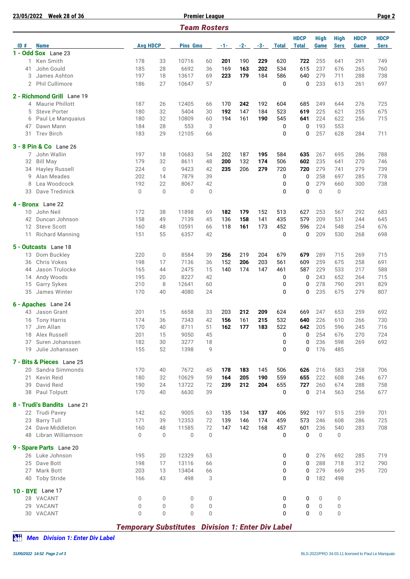| 23/05/2022          | <b>Week 28 of 36</b>        |                 |                |                 | <b>Premier League</b> |            |       |            |              |                             | Page 2              |                            |                     |                            |
|---------------------|-----------------------------|-----------------|----------------|-----------------|-----------------------|------------|-------|------------|--------------|-----------------------------|---------------------|----------------------------|---------------------|----------------------------|
| <b>Team Rosters</b> |                             |                 |                |                 |                       |            |       |            |              |                             |                     |                            |                     |                            |
| ID#<br><b>Name</b>  |                             | <b>Avg HDCP</b> |                | <b>Pins Gms</b> |                       | $-1-$      | $-2-$ | $-3-$      | <b>Total</b> | <b>HDCP</b><br><b>Total</b> | <b>High</b><br>Game | <b>High</b><br><b>Sers</b> | <b>HDCP</b><br>Game | <b>HDCP</b><br><b>Sers</b> |
|                     | 1 - Odd Sox Lane 23         |                 |                |                 |                       |            |       |            |              |                             |                     |                            |                     |                            |
| 1                   | Ken Smith                   | 178             | 33             | 10716           | 60                    | 201        | 190   | 229        | 620          | 722                         | 255                 | 641                        | 291                 | 749                        |
| 41                  | John Gould                  | 185             | 28             | 6692            | 36                    | 169        | 163   | 202        | 534          | 615                         | 237                 | 676                        | 265                 | 760                        |
| 3                   | James Ashton                | 197             | 18             | 13617           | 69                    | 223        | 179   | 184        | 586          | 640                         | 279                 | 711                        | 288                 | 738                        |
|                     | 2 Phil Cullimore            | 186             | 27             | 10647           | 57                    |            |       |            | 0            | 0                           | 233                 | 613                        | 261                 | 697                        |
|                     |                             |                 |                |                 |                       |            |       |            |              |                             |                     |                            |                     |                            |
|                     | 2 - Richmond Grill Lane 19  |                 |                |                 |                       |            |       |            |              |                             |                     |                            |                     |                            |
| 4                   | Maurie Phillott             | 187             | 26             | 12405           | 66                    | 170        | 242   | 192        | 604          | 685                         | 249                 | 644                        | 276                 | 725                        |
| 5                   | <b>Steve Porter</b>         | 180             | 32             | 5404            | 30                    | 192        | 147   | 184        | 523          | 619                         | 225                 | 621                        | 255                 | 675                        |
| 6                   | Paul Le Manquaius           | 180             | 32             | 10809           | 60                    | 194        | 161   | 190        | 545          | 641                         | 224                 | 622                        | 256                 | 715                        |
| 47                  | Dawn Mann                   | 184             | 28             | 553             | 3                     |            |       |            | 0            | 0                           | 193                 | 553                        |                     |                            |
| 31                  | <b>Trev Birch</b>           | 183             | 29             | 12105           | 66                    |            |       |            | 0            | 0                           | 257                 | 628                        | 284                 | 711                        |
|                     |                             |                 |                |                 |                       |            |       |            |              |                             |                     |                            |                     |                            |
|                     | 3 - 8 Pin & Co Lane 26      |                 |                |                 |                       |            |       |            |              |                             |                     |                            |                     |                            |
|                     | 7 John Wallin               | 197             | 18             | 10683           | 54                    | 202        | 187   | 195        | 584          | 635                         | 267                 | 695                        | 286                 | 788                        |
| 32                  | <b>Bill May</b>             | 179             | 32             | 8611            | 48                    | 200        | 132   | 174        | 506          | 602                         | 235                 | 641                        | 270                 | 746                        |
| 34                  | Hayley Russell              | 224             | $\mathbf{0}$   | 9423            | 42                    | 235        | 206   | 279        | 720          | 720                         | 279                 | 741                        | 279                 | 739                        |
| 9                   | Alan Meades                 | 202             | 14             | 7879            | 39                    |            |       |            | 0            | 0                           | 258                 | 697                        | 285                 | 778                        |
| 8                   | Lea Woodcock                | 192             | 22             | 8067            | 42                    |            |       |            | 0            | 0                           | 279                 | 660                        | 300                 | 738                        |
| 33                  | Dave Tredinick              | 0               | $\overline{0}$ | $\mathbf 0$     | $\theta$              |            |       |            | 0            | $\mathbf 0$                 | $\mathbf 0$         | 0                          |                     |                            |
|                     | 4 - Bronx Lane 22           |                 |                |                 |                       |            |       |            |              |                             |                     |                            |                     |                            |
|                     | John Neil                   |                 |                |                 |                       | 182        | 179   |            |              | 627                         |                     |                            |                     |                            |
| 10<br>42            | Duncan Johnson              | 172<br>158      | 38<br>49       | 11898<br>7139   | 69                    |            | 158   | 152        | 513<br>435   | 579                         | 253<br>209          | 567<br>531                 | 292                 | 683                        |
| $12 \overline{ }$   |                             | 160             |                | 10591           | 45                    | 136<br>118 |       | 141<br>173 | 452          | 596                         | 224                 |                            | 244<br>254          | 645                        |
|                     | <b>Steve Scott</b>          | 151             | 48<br>55       | 6357            | 66<br>42              |            | 161   |            | 0            | 0                           | 209                 | 548<br>530                 |                     | 676                        |
| 11                  | Richard Manning             |                 |                |                 |                       |            |       |            |              |                             |                     |                            | 268                 | 698                        |
|                     | 5 - Outcasts Lane 18        |                 |                |                 |                       |            |       |            |              |                             |                     |                            |                     |                            |
| 13                  | Dom Buckley                 | 220             | $\overline{0}$ | 8584            | 39                    | 256        | 219   | 204        | 679          | 679                         | 289                 | 715                        | 269                 | 715                        |
| 36                  | Chris Vokes                 | 198             | 17             | 7136            | 36                    | 152        | 206   | 203        | 561          | 609                         | 259                 | 675                        | 258                 | 691                        |
| 44                  | Jason Trulocke              | 165             | 44             | 2475            | 15                    | 140        | 174   | 147        | 461          | 587                         | 229                 | 533                        | 217                 | 588                        |
| 14                  | Andy Woods                  | 195             | 20             | 8227            | 42                    |            |       |            | 0            | 0                           | 243                 | 652                        | 264                 | 715                        |
| 15                  | Garry Sykes                 | 210             | 8              | 12641           | 60                    |            |       |            | 0            | 0                           | 278                 | 790                        | 291                 | 829                        |
| 35                  | James Winter                | 170             | 40             | 4080            | 24                    |            |       |            | 0            | 0                           | 235                 | 675                        | 279                 | 807                        |
|                     |                             |                 |                |                 |                       |            |       |            |              |                             |                     |                            |                     |                            |
|                     | 6 - Apaches Lane 24         |                 |                |                 |                       |            |       |            |              |                             |                     |                            |                     |                            |
|                     | 43 Jason Grant              | 201             | 15             | 6658            | 33                    | 203        | 212   | 209        | 624          | 669                         | 247                 | 653                        | 259                 | 692                        |
|                     | 16 Tony Harris              | 174             | 36             | 7343            | 42                    | 156        | 161   | 215        | 532          | 640                         | 226                 | 610                        | 266                 | 730                        |
|                     | 17 Jim Allan                | 170             | 40             | 8711            | 51                    | 162        | 177   | 183        | 522          | 642                         | 205                 | 596                        | 245                 | 716                        |
|                     | 18 Alex Russell             | 201             | 15             | 9050            | 45                    |            |       |            | 0            | 0                           | 254                 | 676                        | 270                 | 724                        |
| 37                  | Suren Johanssen             | 182             | 30             | 3277            | 18                    |            |       |            | 0            | 0                           | 236                 | 598                        | 269                 | 692                        |
|                     | 19 Julie Johanssen          | 155             | 52             | 1398            | 9                     |            |       |            | 0            | 0                           | 176                 | 485                        |                     |                            |
|                     | 7 - Bits & Pieces Lane 25   |                 |                |                 |                       |            |       |            |              |                             |                     |                            |                     |                            |
|                     | 20 Sandra Simmonds          | 170             | 40             | 7672            | 45                    | 178        | 183   | 145        | 506          | 626                         | 216                 | 583                        | 258                 | 706                        |
| 21                  | Kevin Reid                  | 180             | 32             | 10629           | 59                    | 164        | 205   | 190        | 559          | 655                         | 222                 | 608                        | 246                 | 677                        |
| 39                  | David Reid                  | 190             | 24             | 13722           | 72                    | 239        | 212   | 204        | 655          | 727                         | 260                 | 674                        | 288                 | 758                        |
|                     | 38 Paul Tolputt             | 170             | 40             | 6630            | 39                    |            |       |            | 0            | 0                           | 214                 | 563                        | 256                 | 677                        |
|                     |                             |                 |                |                 |                       |            |       |            |              |                             |                     |                            |                     |                            |
|                     | 8 - Trudi's Bandits Lane 21 |                 |                |                 |                       |            |       |            |              |                             |                     |                            |                     |                            |
|                     | 22 Trudi Pavey              | 142             | 62             | 9005            | 63                    | 135        | 134   | 137        | 406          | 592                         | 197                 | 515                        | 259                 | 701                        |
| 23                  | <b>Barry Tull</b>           | 171             | 39             | 12353           | 72                    | 139        | 146   | 174        | 459          | 573                         | 246                 | 608                        | 286                 | 725                        |
| 24                  | Dave Middleton              | 160             | 48             | 11585           | 72                    | 147        | 142   | 168        | 457          | 601                         | 236                 | 540                        | 283                 | 708                        |
|                     | 48 Libran Williamson        | 0               | $\mathbf{0}$   | 0               | $\theta$              |            |       |            | 0            | 0                           | $\mathbf 0$         | 0                          |                     |                            |
|                     | 9 - Spare Parts Lane 20     |                 |                |                 |                       |            |       |            |              |                             |                     |                            |                     |                            |
|                     | 26 Luke Johnson             | 195             | 20             | 12329           | 63                    |            |       |            | 0            | 0                           | 276                 | 692                        | 285                 | 719                        |
| 25                  | Dave Bott                   | 198             | 17             | 13116           | 66                    |            |       |            | 0            | 0                           | 288                 | 718                        | 312                 | 790                        |
| 27                  | Mark Bott                   | 203             | 13             | 13404           | 66                    |            |       |            | 0            | 0                           | 279                 | 669                        | 295                 | 720                        |
|                     | 40 Toby Stride              | 166             | 43             | 498             | 3                     |            |       |            | 0            | 0                           | 182                 | 498                        |                     |                            |
|                     |                             |                 |                |                 |                       |            |       |            |              |                             |                     |                            |                     |                            |
|                     | 10 - BYE Lane 17            |                 |                |                 |                       |            |       |            |              |                             |                     |                            |                     |                            |
|                     | 28 VACANT                   | 0               | 0              | 0               | 0                     |            |       |            | 0            | 0                           | 0                   | 0                          |                     |                            |
|                     | 29 VACANT                   | 0               | 0              | 0               | 0                     |            |       |            | 0            | 0                           | 0                   | 0                          |                     |                            |
|                     | 30 VACANT                   | 0               | $\mathbf 0$    | $\mathbf 0$     | $\mathbf{0}$          |            |       |            | 0            | 0                           | 0                   | 0                          |                     |                            |

*Temporary Substitutes Division 1: Enter Div Label*

*Men Division 1: Enter Div Label*